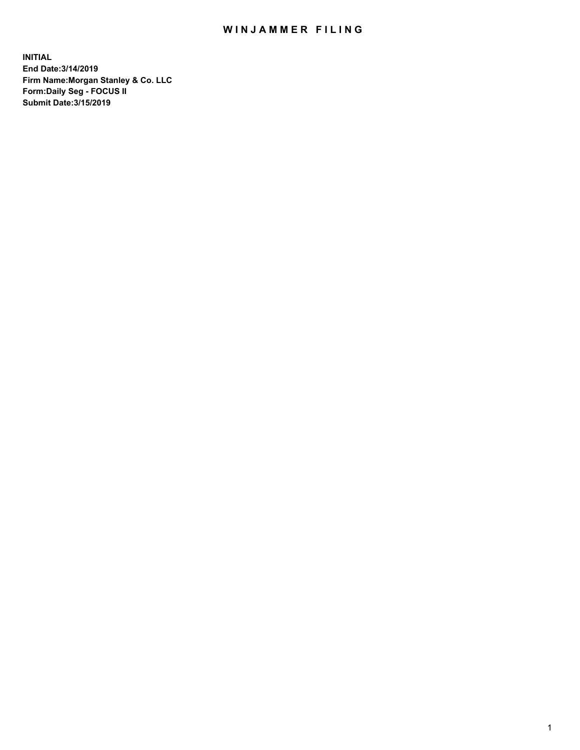## WIN JAMMER FILING

**INITIAL End Date:3/14/2019 Firm Name:Morgan Stanley & Co. LLC Form:Daily Seg - FOCUS II Submit Date:3/15/2019**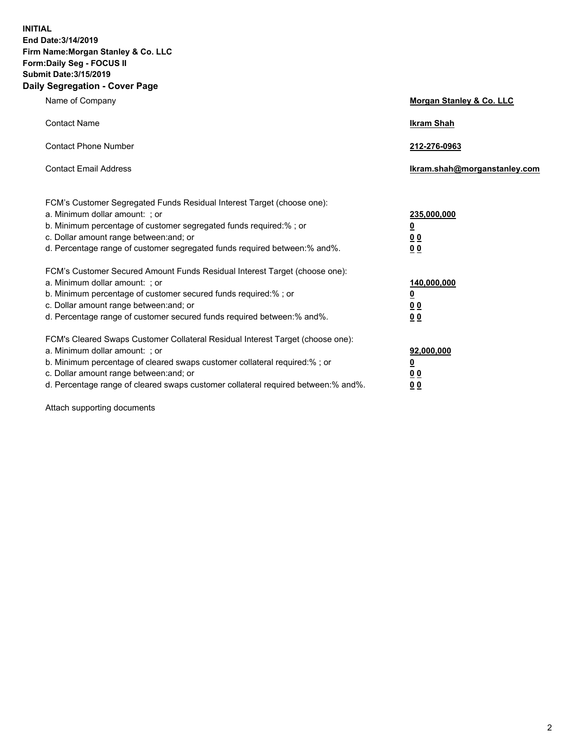**INITIAL End Date:3/14/2019 Firm Name:Morgan Stanley & Co. LLC Form:Daily Seg - FOCUS II Submit Date:3/15/2019 Daily Segregation - Cover Page**

| Name of Company                                                                                                                                                                                                                                                                                                               | Morgan Stanley & Co. LLC                                    |
|-------------------------------------------------------------------------------------------------------------------------------------------------------------------------------------------------------------------------------------------------------------------------------------------------------------------------------|-------------------------------------------------------------|
| <b>Contact Name</b>                                                                                                                                                                                                                                                                                                           | <b>Ikram Shah</b>                                           |
| <b>Contact Phone Number</b>                                                                                                                                                                                                                                                                                                   | 212-276-0963                                                |
| <b>Contact Email Address</b>                                                                                                                                                                                                                                                                                                  | Ikram.shah@morganstanley.com                                |
| FCM's Customer Segregated Funds Residual Interest Target (choose one):<br>a. Minimum dollar amount: ; or<br>b. Minimum percentage of customer segregated funds required:% ; or<br>c. Dollar amount range between: and; or<br>d. Percentage range of customer segregated funds required between:% and%.                        | 235,000,000<br><u>0</u><br><u>00</u><br>0 <sup>0</sup>      |
| FCM's Customer Secured Amount Funds Residual Interest Target (choose one):<br>a. Minimum dollar amount: ; or<br>b. Minimum percentage of customer secured funds required:%; or<br>c. Dollar amount range between: and; or<br>d. Percentage range of customer secured funds required between:% and%.                           | 140,000,000<br><u>0</u><br>0 <sub>0</sub><br>0 <sub>0</sub> |
| FCM's Cleared Swaps Customer Collateral Residual Interest Target (choose one):<br>a. Minimum dollar amount: ; or<br>b. Minimum percentage of cleared swaps customer collateral required:%; or<br>c. Dollar amount range between: and; or<br>d. Percentage range of cleared swaps customer collateral required between:% and%. | 92,000,000<br><u>0</u><br>0 Q<br>00                         |

Attach supporting documents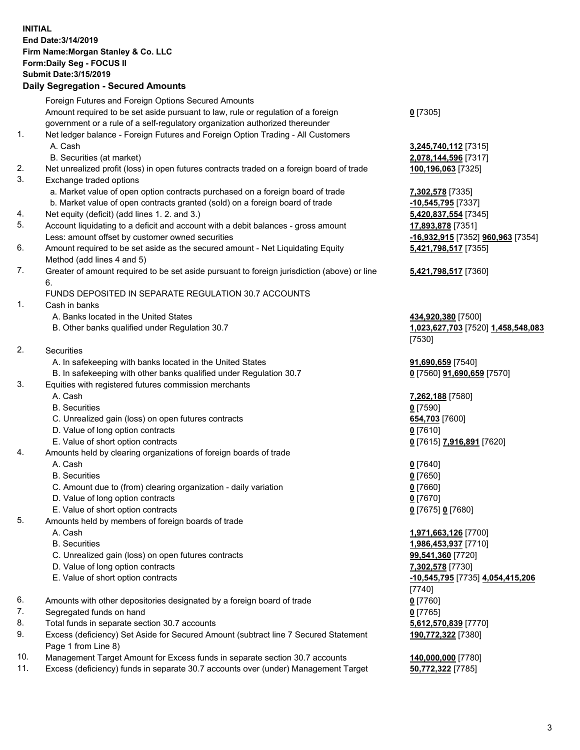## **INITIAL End Date:3/14/2019 Firm Name:Morgan Stanley & Co. LLC Form:Daily Seg - FOCUS II Submit Date:3/15/2019**

**Daily Segregation - Secured Amounts** Foreign Futures and Foreign Options Secured Amounts Amount required to be set aside pursuant to law, rule or regulation of a foreign government or a rule of a self-regulatory organization authorized thereunder 1. Net ledger balance - Foreign Futures and Foreign Option Trading - All Customers A. Cash **3,245,740,112** [7315] B. Securities (at market) **2,078,144,596** [7317] 2. Net unrealized profit (loss) in open futures contracts traded on a foreign board of trade **100,196,063** [7325] 3. Exchange traded options a. Market value of open option contracts purchased on a foreign board of trade **7,302,578** [7335] b. Market value of open contracts granted (sold) on a foreign board of trade **-10,545,795** [7337] 4. Net equity (deficit) (add lines 1. 2. and 3.) **5,420,837,554** [7345] 5. Account liquidating to a deficit and account with a debit balances - gross amount **17,893,878** [7351] Less: amount offset by customer owned securities **-16,932,915** [7352] **960,963** [7354] 6. Amount required to be set aside as the secured amount - Net Liquidating Equity Method (add lines 4 and 5) 7. Greater of amount required to be set aside pursuant to foreign jurisdiction (above) or line 6. FUNDS DEPOSITED IN SEPARATE REGULATION 30.7 ACCOUNTS 1. Cash in banks A. Banks located in the United States **434,920,380** [7500] B. Other banks qualified under Regulation 30.7 **1,023,627,703** [7520] **1,458,548,083** 2. Securities A. In safekeeping with banks located in the United States **91,690,659** [7540] B. In safekeeping with other banks qualified under Regulation 30.7 **0** [7560] **91,690,659** [7570] 3. Equities with registered futures commission merchants A. Cash **7,262,188** [7580] B. Securities **0** [7590] C. Unrealized gain (loss) on open futures contracts **654,703** [7600] D. Value of long option contracts **0** [7610] E. Value of short option contracts **0** [7615] **7,916,891** [7620] 4. Amounts held by clearing organizations of foreign boards of trade A. Cash **0** [7640] B. Securities **0** [7650] C. Amount due to (from) clearing organization - daily variation **0** [7660] D. Value of long option contracts **0** [7670] E. Value of short option contracts **0** [7675] **0** [7680] 5. Amounts held by members of foreign boards of trade A. Cash **1,971,663,126** [7700] B. Securities **1,986,453,937** [7710] C. Unrealized gain (loss) on open futures contracts **99,541,360** [7720] D. Value of long option contracts **7,302,578** [7730] E. Value of short option contracts **-10,545,795** [7735] **4,054,415,206**

- 6. Amounts with other depositories designated by a foreign board of trade **0** [7760]
- 7. Segregated funds on hand **0** [7765]
- 8. Total funds in separate section 30.7 accounts **5,612,570,839** [7770]
- 9. Excess (deficiency) Set Aside for Secured Amount (subtract line 7 Secured Statement Page 1 from Line 8)
- 10. Management Target Amount for Excess funds in separate section 30.7 accounts **140,000,000** [7780]
- 11. Excess (deficiency) funds in separate 30.7 accounts over (under) Management Target **50,772,322** [7785]

**0** [7305]

**5,421,798,517** [7355]

## **5,421,798,517** [7360]

[7530]

[7740] **190,772,322** [7380]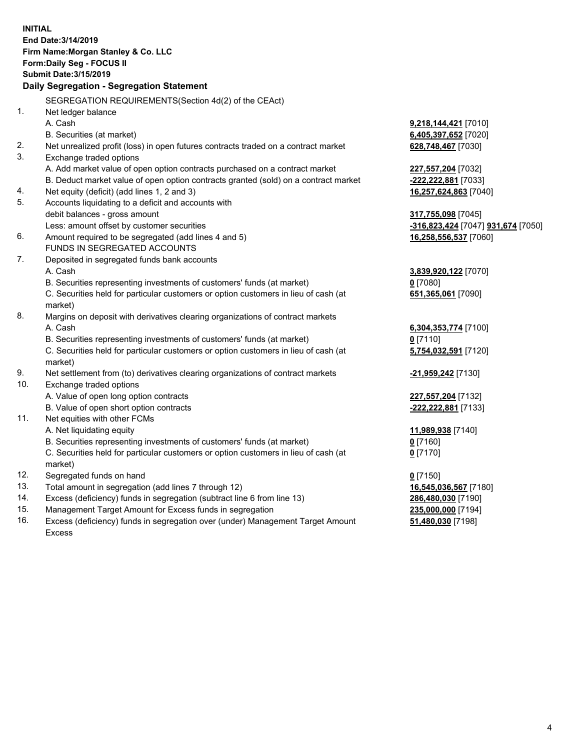**INITIAL End Date:3/14/2019 Firm Name:Morgan Stanley & Co. LLC Form:Daily Seg - FOCUS II Submit Date:3/15/2019 Daily Segregation - Segregation Statement** SEGREGATION REQUIREMENTS(Section 4d(2) of the CEAct) 1. Net ledger balance A. Cash **9,218,144,421** [7010] B. Securities (at market) **6,405,397,652** [7020] 2. Net unrealized profit (loss) in open futures contracts traded on a contract market **628,748,467** [7030] 3. Exchange traded options A. Add market value of open option contracts purchased on a contract market **227,557,204** [7032] B. Deduct market value of open option contracts granted (sold) on a contract market **-222,222,881** [7033] 4. Net equity (deficit) (add lines 1, 2 and 3) **16,257,624,863** [7040] 5. Accounts liquidating to a deficit and accounts with debit balances - gross amount **317,755,098** [7045] Less: amount offset by customer securities **-316,823,424** [7047] **931,674** [7050] 6. Amount required to be segregated (add lines 4 and 5) **16,258,556,537** [7060] FUNDS IN SEGREGATED ACCOUNTS 7. Deposited in segregated funds bank accounts A. Cash **3,839,920,122** [7070] B. Securities representing investments of customers' funds (at market) **0** [7080] C. Securities held for particular customers or option customers in lieu of cash (at market) **651,365,061** [7090] 8. Margins on deposit with derivatives clearing organizations of contract markets A. Cash **6,304,353,774** [7100] B. Securities representing investments of customers' funds (at market) **0** [7110] C. Securities held for particular customers or option customers in lieu of cash (at market) **5,754,032,591** [7120] 9. Net settlement from (to) derivatives clearing organizations of contract markets **-21,959,242** [7130] 10. Exchange traded options A. Value of open long option contracts **227,557,204** [7132] B. Value of open short option contracts **-222,222,881** [7133] 11. Net equities with other FCMs A. Net liquidating equity **11,989,938** [7140] B. Securities representing investments of customers' funds (at market) **0** [7160] C. Securities held for particular customers or option customers in lieu of cash (at market) **0** [7170] 12. Segregated funds on hand **0** [7150] 13. Total amount in segregation (add lines 7 through 12) **16,545,036,567** [7180] 14. Excess (deficiency) funds in segregation (subtract line 6 from line 13) **286,480,030** [7190] 15. Management Target Amount for Excess funds in segregation **235,000,000** [7194]

16. Excess (deficiency) funds in segregation over (under) Management Target Amount Excess

**51,480,030** [7198]